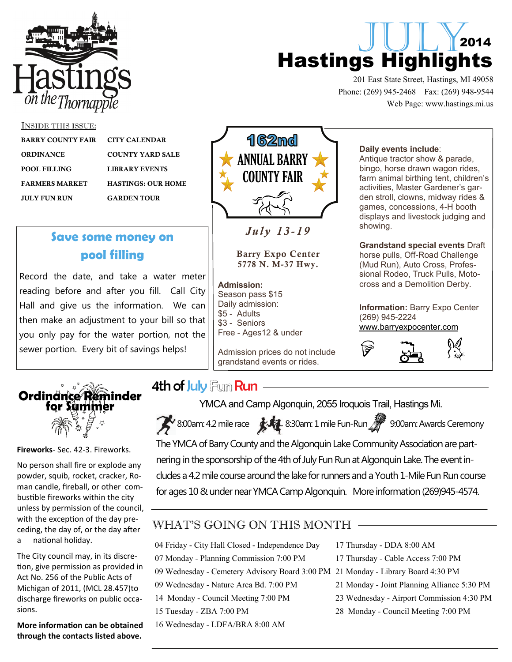

# JULY<sub>2014</sub> Hastings Highlights

201 East State Street, Hastings, MI 49058 Phone: (269) 945-2468 Fax: (269) 948-9544 Web Page: www.hastings.mi.us

#### INSIDE THIS ISSUE:

j

| <b>BARRY COUNTY FAIR</b> | <b>CITY CALENDAR</b>      |
|--------------------------|---------------------------|
| <b>ORDINANCE</b>         | <b>COUNTY YARD SALE</b>   |
| <b>POOL FILLING</b>      | <b>LIBRARY EVENTS</b>     |
| <b>FARMERS MARKET</b>    | <b>HASTINGS: OUR HOME</b> |
| <b>JULY FUN RUN</b>      | <b>GARDEN TOUR</b>        |
|                          |                           |

**Save some money on** 

**pool filling** 

Record the date, and take a water meter reading before and after you fill. Call City Hall and give us the information. We can then make an adjustment to your bill so that you only pay for the water portion, not the

sewer portion. Every bit of savings helps!

# **162md** ANNUAL BARRY COUNTY FAIR

### *July 13-19*

Barry Expo Center 5778 N. M-37 Hwy.

**Admission:** Season pass \$15 Daily admission: \$5 - Adults \$3 - Seniors Free - Ages12 & under

Admission prices do not include grandstand events or rides.

#### **Daily events include**:

Antique tractor show & parade, bingo, horse drawn wagon rides, farm animal birthing tent, children's activities, Master Gardener's garden stroll, clowns, midway rides & games, concessions, 4-H booth displays and livestock judging and showing.

**Grandstand special events** Draft horse pulls, Off-Road Challenge (Mud Run), Auto Cross, Professional Rodeo, Truck Pulls, Motocross and a Demolition Derby.

**Information:** Barry Expo Center (269) 945-2224 [www.barryexpocenter.com](http://www.barryexpocenter.com)





**Fireworks**‐ Sec. 42‐3. Fireworks.

No person shall fire or explode any powder, squib, rocket, cracker, Ro‐ man candle, fireball, or other com‐ bustible fireworks within the city unless by permission of the council, with the exception of the day preceding, the day of, or the day after a national holiday.

The City council may, in its discre‐ tion, give permission as provided in Act No. 256 of the Public Acts of Michigan of 2011, (MCL 28.457)to discharge fireworks on public occa‐ sions.

**More informaƟon can be obtained through the contacts listed above.** 

### 4th of July Fum Run -

YMCA and Camp Algonquin, 2055 Iroquois Trail, Hastings Mi.

8:00am: 4.2 mile race  $\sqrt{3}$  8:30am: 1 mile Fun-Run  $\gamma$  9:00am: Awards Ceremony

The YMCA of Barry County and the Algonquin Lake Community Association are partnering in the sponsorship of the 4th of July Fun Run at Algonquin Lake. The event includes a 4.2 mile course around the lake for runners and a Youth 1-Mile Fun Run course for ages 10 & under near YMCA Camp Algonquin. More information (269)945-4574.

### WHAT'S GOING ON THIS MONTH

09 Wednesday - Cemetery Advisory Board 3:00 PM 21 Monday - Library Board 4:30 PM 04 Friday - City Hall Closed - Independence Day 07 Monday - Planning Commission 7:00 PM 09 Wednesday - Nature Area Bd. 7:00 PM 14 Monday - Council Meeting 7:00 PM 15 Tuesday - ZBA 7:00 PM

16 Wednesday - LDFA/BRA 8:00 AM

- 17 Thursday DDA 8:00 AM
- 17 Thursday Cable Access 7:00 PM
- 
- 21 Monday Joint Planning Alliance 5:30 PM
- 23 Wednesday Airport Commission 4:30 PM
- 28 Monday Council Meeting 7:00 PM